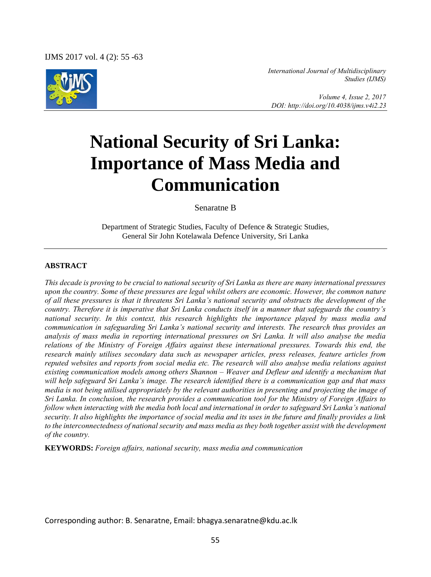IJMS 2017 vol. 4 (2): 55 -63



*International Journal of Multidisciplinary Studies (IJMS)* 

 *Volume 4, Issue 2, 2017 DOI: http://doi.org/10.4038/ijms.v4i2.23* 

# **National Security of Sri Lanka: Importance of Mass Media and Communication**

Senaratne B

Department of Strategic Studies, Faculty of Defence & Strategic Studies, General Sir John Kotelawala Defence University, Sri Lanka

#### **ABSTRACT**

*This decade is proving to be crucial to national security of Sri Lanka as there are many international pressures upon the country. Some of these pressures are legal whilst others are economic. However, the common nature of all these pressures is that it threatens Sri Lanka's national security and obstructs the development of the country. Therefore it is imperative that Sri Lanka conducts itself in a manner that safeguards the country's national security. In this context, this research highlights the importance played by mass media and communication in safeguarding Sri Lanka's national security and interests. The research thus provides an analysis of mass media in reporting international pressures on Sri Lanka. It will also analyse the media relations of the Ministry of Foreign Affairs against these international pressures. Towards this end, the research mainly utilises secondary data such as newspaper articles, press releases, feature articles from reputed websites and reports from social media etc. The research will also analyse media relations against existing communication models among others Shannon – Weaver and Defleur and identify a mechanism that will help safeguard Sri Lanka's image. The research identified there is a communication gap and that mass media is not being utilised appropriately by the relevant authorities in presenting and projecting the image of Sri Lanka. In conclusion, the research provides a communication tool for the Ministry of Foreign Affairs to follow when interacting with the media both local and international in order to safeguard Sri Lanka's national security. It also highlights the importance of social media and its uses in the future and finally provides a link to the interconnectedness of national security and mass media as they both together assist with the development of the country.*

**KEYWORDS:** *Foreign affairs, national security, mass media and communication* 

Corresponding author: B. Senaratne, Email: bhagya.senaratne@kdu.ac.lk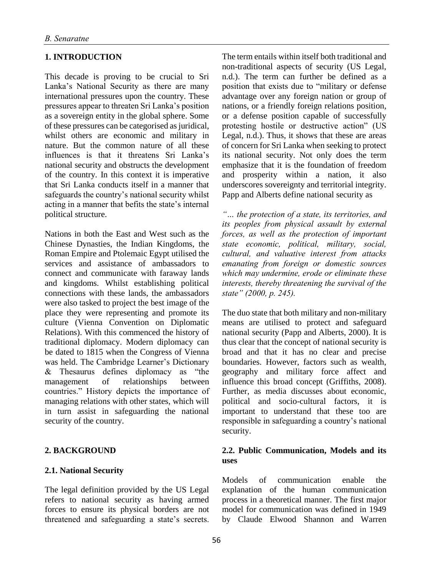# **1. INTRODUCTION**

This decade is proving to be crucial to Sri Lanka's National Security as there are many international pressures upon the country. These pressures appear to threaten Sri Lanka's position as a sovereign entity in the global sphere. Some of these pressures can be categorised as juridical, whilst others are economic and military in nature. But the common nature of all these influences is that it threatens Sri Lanka's national security and obstructs the development of the country. In this context it is imperative that Sri Lanka conducts itself in a manner that safeguards the country's national security whilst acting in a manner that befits the state's internal political structure.

Nations in both the East and West such as the Chinese Dynasties, the Indian Kingdoms, the Roman Empire and Ptolemaic Egypt utilised the services and assistance of ambassadors to connect and communicate with faraway lands and kingdoms. Whilst establishing political connections with these lands, the ambassadors were also tasked to project the best image of the place they were representing and promote its culture (Vienna Convention on Diplomatic Relations). With this commenced the history of traditional diplomacy. Modern diplomacy can be dated to 1815 when the Congress of Vienna was held. The Cambridge Learner's Dictionary & Thesaurus defines diplomacy as "the management of relationships between countries." History depicts the importance of managing relations with other states, which will in turn assist in safeguarding the national security of the country.

# **2. BACKGROUND**

# **2.1. National Security**

The legal definition provided by the US Legal refers to national security as having armed forces to ensure its physical borders are not threatened and safeguarding a state's secrets. The term entails within itself both traditional and non-traditional aspects of security (US Legal, n.d.). The term can further be defined as a position that exists due to "military or defense advantage over any foreign nation or group of nations, or a friendly foreign relations position, or a defense position capable of successfully protesting hostile or destructive action" (US Legal, n.d.). Thus, it shows that these are areas of concern for Sri Lanka when seeking to protect its national security. Not only does the term emphasize that it is the foundation of freedom and prosperity within a nation, it also underscores sovereignty and territorial integrity. Papp and Alberts define national security as

*"… the protection of a state, its territories, and its peoples from physical assault by external forces, as well as the protection of important state economic, political, military, social, cultural, and valuative interest from attacks emanating from foreign or domestic sources which may undermine, erode or eliminate these interests, thereby threatening the survival of the state" (2000, p. 245).*

The duo state that both military and non-military means are utilised to protect and safeguard national security (Papp and Alberts, 2000). It is thus clear that the concept of national security is broad and that it has no clear and precise boundaries. However, factors such as wealth, geography and military force affect and influence this broad concept (Griffiths, 2008). Further, as media discusses about economic, political and socio-cultural factors, it is important to understand that these too are responsible in safeguarding a country's national security.

## **2.2. Public Communication, Models and its uses**

Models of communication enable the explanation of the human communication process in a theoretical manner. The first major model for communication was defined in 1949 by Claude Elwood Shannon and Warren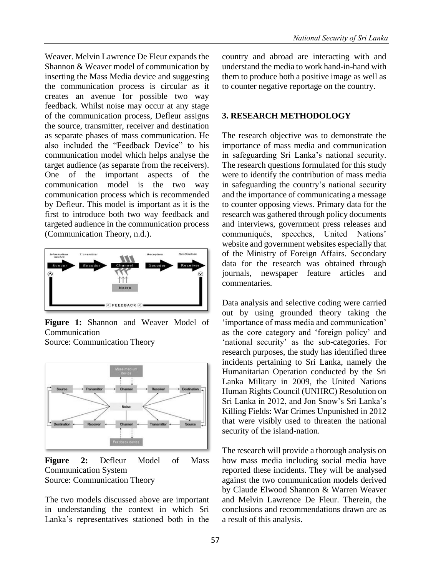Weaver. Melvin Lawrence De Fleur expands the Shannon & Weaver model of communication by inserting the Mass Media device and suggesting the communication process is circular as it creates an avenue for possible two way feedback. Whilst noise may occur at any stage of the communication process, Defleur assigns the source, transmitter, receiver and destination as separate phases of mass communication. He also included the "Feedback Device" to his communication model which helps analyse the target audience (as separate from the receivers). One of the important aspects of the communication model is the two way communication process which is recommended by Defleur. This model is important as it is the first to introduce both two way feedback and targeted audience in the communication process (Communication Theory, n.d.).



**Figure 1:** Shannon and Weaver Model of Communication

Source: Communication Theory



**Figure 2:** Defleur Model of Mass Communication System Source: Communication Theory

The two models discussed above are important in understanding the context in which Sri Lanka's representatives stationed both in the country and abroad are interacting with and understand the media to work hand-in-hand with them to produce both a positive image as well as to counter negative reportage on the country.

#### **3. RESEARCH METHODOLOGY**

The research objective was to demonstrate the importance of mass media and communication in safeguarding Sri Lanka's national security. The research questions formulated for this study were to identify the contribution of mass media in safeguarding the country's national security and the importance of communicating a message to counter opposing views. Primary data for the research was gathered through policy documents and interviews, government press releases and communiqués, speeches, United Nations' website and government websites especially that of the Ministry of Foreign Affairs. Secondary data for the research was obtained through journals, newspaper feature articles and commentaries.

Data analysis and selective coding were carried out by using grounded theory taking the 'importance of mass media and communication' as the core category and 'foreign policy' and 'national security' as the sub-categories. For research purposes, the study has identified three incidents pertaining to Sri Lanka, namely the Humanitarian Operation conducted by the Sri Lanka Military in 2009, the United Nations Human Rights Council (UNHRC) Resolution on Sri Lanka in 2012, and Jon Snow's Sri Lanka's Killing Fields: War Crimes Unpunished in 2012 that were visibly used to threaten the national security of the island-nation.

The research will provide a thorough analysis on how mass media including social media have reported these incidents. They will be analysed against the two communication models derived by Claude Elwood Shannon & Warren Weaver and Melvin Lawrence De Fleur. Therein, the conclusions and recommendations drawn are as a result of this analysis.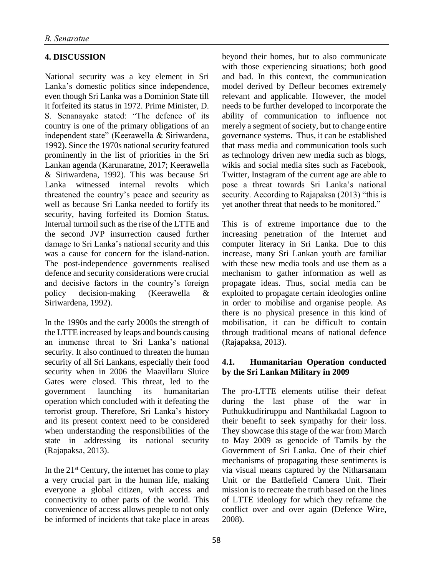# **4. DISCUSSION**

National security was a key element in Sri Lanka's domestic politics since independence, even though Sri Lanka was a Dominion State till it forfeited its status in 1972. Prime Minister, D. S. Senanayake stated: "The defence of its country is one of the primary obligations of an independent state" (Keerawella & Siriwardena, 1992). Since the 1970s national security featured prominently in the list of priorities in the Sri Lankan agenda (Karunaratne, 2017; Keerawella & Siriwardena, 1992). This was because Sri Lanka witnessed internal revolts which threatened the country's peace and security as well as because Sri Lanka needed to fortify its security, having forfeited its Domion Status. Internal turmoil such as the rise of the LTTE and the second JVP insurrection caused further damage to Sri Lanka's national security and this was a cause for concern for the island-nation. The post-independence governments realised defence and security considerations were crucial and decisive factors in the country's foreign policy decision-making (Keerawella & Siriwardena, 1992).

In the 1990s and the early 2000s the strength of the LTTE increased by leaps and bounds causing an immense threat to Sri Lanka's national security. It also continued to threaten the human security of all Sri Lankans, especially their food security when in 2006 the Maavillaru Sluice Gates were closed. This threat, led to the government launching its humanitarian operation which concluded with it defeating the terrorist group. Therefore, Sri Lanka's history and its present context need to be considered when understanding the responsibilities of the state in addressing its national security (Rajapaksa, 2013).

In the  $21<sup>st</sup>$  Century, the internet has come to play a very crucial part in the human life, making everyone a global citizen, with access and connectivity to other parts of the world. This convenience of access allows people to not only be informed of incidents that take place in areas

beyond their homes, but to also communicate with those experiencing situations; both good and bad. In this context, the communication model derived by Defleur becomes extremely relevant and applicable. However, the model needs to be further developed to incorporate the ability of communication to influence not merely a segment of society, but to change entire governance systems. Thus, it can be established that mass media and communication tools such as technology driven new media such as blogs, wikis and social media sites such as Facebook, Twitter, Instagram of the current age are able to pose a threat towards Sri Lanka's national security. According to Rajapaksa (2013) "this is yet another threat that needs to be monitored."

This is of extreme importance due to the increasing penetration of the Internet and computer literacy in Sri Lanka. Due to this increase, many Sri Lankan youth are familiar with these new media tools and use them as a mechanism to gather information as well as propagate ideas. Thus, social media can be exploited to propagate certain ideologies online in order to mobilise and organise people. As there is no physical presence in this kind of mobilisation, it can be difficult to contain through traditional means of national defence (Rajapaksa, 2013).

# **4.1. Humanitarian Operation conducted by the Sri Lankan Military in 2009**

The pro-LTTE elements utilise their defeat during the last phase of the war in Puthukkudiriruppu and Nanthikadal Lagoon to their benefit to seek sympathy for their loss. They showcase this stage of the war from March to May 2009 as genocide of Tamils by the Government of Sri Lanka. One of their chief mechanisms of propagating these sentiments is via visual means captured by the Nitharsanam Unit or the Battlefield Camera Unit. Their mission is to recreate the truth based on the lines of LTTE ideology for which they reframe the conflict over and over again (Defence Wire, 2008).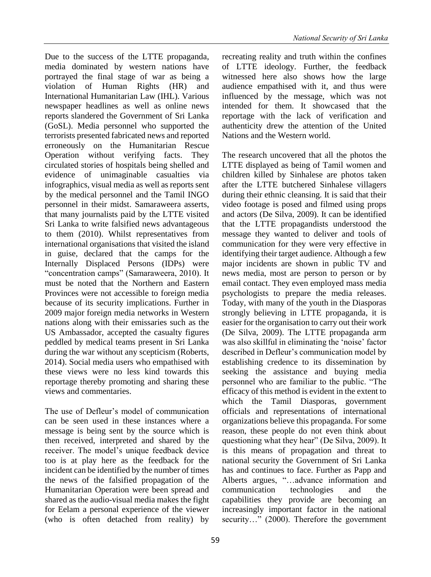Due to the success of the LTTE propaganda, media dominated by western nations have portrayed the final stage of war as being a violation of Human Rights (HR) and International Humanitarian Law (IHL). Various newspaper headlines as well as online news reports slandered the Government of Sri Lanka (GoSL). Media personnel who supported the terrorists presented fabricated news and reported erroneously on the Humanitarian Rescue Operation without verifying facts. They circulated stories of hospitals being shelled and evidence of unimaginable casualties via infographics, visual media as well as reports sent by the medical personnel and the Tamil INGO personnel in their midst. Samaraweera asserts, that many journalists paid by the LTTE visited Sri Lanka to write falsified news advantageous to them (2010). Whilst representatives from international organisations that visited the island in guise, declared that the camps for the Internally Displaced Persons (IDPs) were "concentration camps" (Samaraweera, 2010). It must be noted that the Northern and Eastern Provinces were not accessible to foreign media because of its security implications. Further in 2009 major foreign media networks in Western nations along with their emissaries such as the US Ambassador, accepted the casualty figures peddled by medical teams present in Sri Lanka during the war without any scepticism (Roberts, 2014). Social media users who empathised with these views were no less kind towards this reportage thereby promoting and sharing these views and commentaries.

The use of Defleur's model of communication can be seen used in these instances where a message is being sent by the source which is then received, interpreted and shared by the receiver. The model's unique feedback device too is at play here as the feedback for the incident can be identified by the number of times the news of the falsified propagation of the Humanitarian Operation were been spread and shared as the audio-visual media makes the fight for Eelam a personal experience of the viewer (who is often detached from reality) by

recreating reality and truth within the confines of LTTE ideology. Further, the feedback witnessed here also shows how the large audience empathised with it, and thus were influenced by the message, which was not intended for them. It showcased that the reportage with the lack of verification and authenticity drew the attention of the United Nations and the Western world.

The research uncovered that all the photos the LTTE displayed as being of Tamil women and children killed by Sinhalese are photos taken after the LTTE butchered Sinhalese villagers during their ethnic cleansing. It is said that their video footage is posed and filmed using props and actors (De Silva, 2009). It can be identified that the LTTE propagandists understood the message they wanted to deliver and tools of communication for they were very effective in identifying their target audience. Although a few major incidents are shown in public TV and news media, most are person to person or by email contact. They even employed mass media psychologists to prepare the media releases. Today, with many of the youth in the Diasporas strongly believing in LTTE propaganda, it is easier for the organisation to carry out their work (De Silva, 2009). The LTTE propaganda arm was also skillful in eliminating the 'noise' factor described in Defleur's communication model by establishing credence to its dissemination by seeking the assistance and buying media personnel who are familiar to the public. "The efficacy of this method is evident in the extent to which the Tamil Diasporas, government officials and representations of international organizations believe this propaganda. For some reason, these people do not even think about questioning what they hear" (De Silva, 2009). It is this means of propagation and threat to national security the Government of Sri Lanka has and continues to face. Further as Papp and Alberts argues, "…advance information and communication technologies and the capabilities they provide are becoming an increasingly important factor in the national security..." (2000). Therefore the government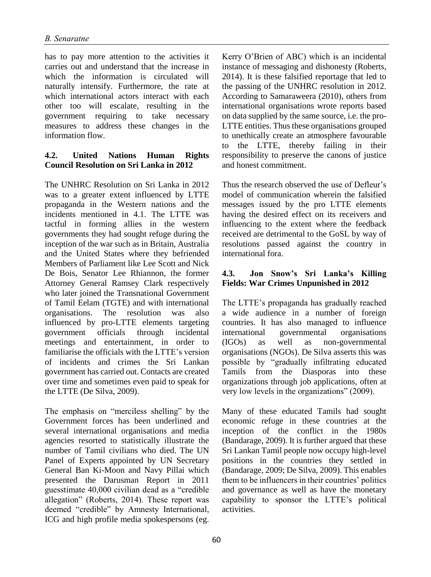has to pay more attention to the activities it carries out and understand that the increase in which the information is circulated will naturally intensify. Furthermore, the rate at which international actors interact with each other too will escalate, resulting in the government requiring to take necessary measures to address these changes in the information flow.

## **4.2. United Nations Human Rights Council Resolution on Sri Lanka in 2012**

The UNHRC Resolution on Sri Lanka in 2012 was to a greater extent influenced by LTTE propaganda in the Western nations and the incidents mentioned in 4.1. The LTTE was tactful in forming allies in the western governments they had sought refuge during the inception of the war such as in Britain, Australia and the United States where they befriended Members of Parliament like Lee Scott and Nick De Bois, Senator Lee Rhiannon, the former Attorney General Ramsey Clark respectively who later joined the Transnational Government of Tamil Eelam (TGTE) and with international organisations. The resolution was also influenced by pro-LTTE elements targeting government officials through incidental meetings and entertainment, in order to familiarise the officials with the LTTE's version of incidents and crimes the Sri Lankan government has carried out. Contacts are created over time and sometimes even paid to speak for the LTTE (De Silva, 2009).

The emphasis on "merciless shelling" by the Government forces has been underlined and several international organisations and media agencies resorted to statistically illustrate the number of Tamil civilians who died. The UN Panel of Experts appointed by UN Secretary General Ban Ki-Moon and Navy Pillai which presented the Darusman Report in 2011 guesstimate 40,000 civilian dead as a "credible allegation" (Roberts, 2014). These report was deemed "credible" by Amnesty International, ICG and high profile media spokespersons (eg.

Kerry O'Brien of ABC) which is an incidental instance of messaging and dishonesty (Roberts, 2014). It is these falsified reportage that led to the passing of the UNHRC resolution in 2012. According to Samaraweera (2010), others from international organisations wrote reports based on data supplied by the same source, i.e. the pro-LTTE entities. Thus these organisations grouped to unethically create an atmosphere favourable to the LTTE, thereby failing in their responsibility to preserve the canons of justice and honest commitment.

Thus the research observed the use of Defleur's model of communication wherein the falsified messages issued by the pro LTTE elements having the desired effect on its receivers and influencing to the extent where the feedback received are detrimental to the GoSL by way of resolutions passed against the country in international fora.

## **4.3. Jon Snow's Sri Lanka's Killing Fields: War Crimes Unpunished in 2012**

The LTTE's propaganda has gradually reached a wide audience in a number of foreign countries. It has also managed to influence international governmental organisations (IGOs) as well as non-governmental organisations (NGOs). De Silva asserts this was possible by "gradually infiltrating educated Tamils from the Diasporas into these organizations through job applications, often at very low levels in the organizations" (2009).

Many of these educated Tamils had sought economic refuge in these countries at the inception of the conflict in the 1980s (Bandarage, 2009). It is further argued that these Sri Lankan Tamil people now occupy high-level positions in the countries they settled in (Bandarage, 2009; De Silva, 2009). This enables them to be influencers in their countries' politics and governance as well as have the monetary capability to sponsor the LTTE's political activities.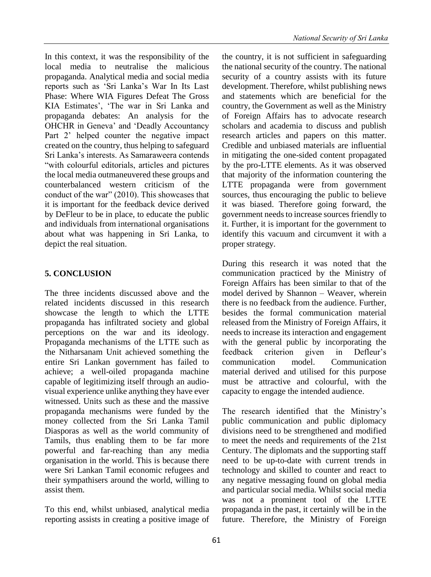In this context, it was the responsibility of the local media to neutralise the malicious propaganda. Analytical media and social media reports such as 'Sri Lanka's War In Its Last Phase: Where WIA Figures Defeat The Gross KIA Estimates', 'The war in Sri Lanka and propaganda debates: An analysis for the OHCHR in Geneva' and 'Deadly Accountancy Part 2' helped counter the negative impact created on the country, thus helping to safeguard Sri Lanka's interests. As Samaraweera contends "with colourful editorials, articles and pictures the local media outmaneuvered these groups and counterbalanced western criticism of the conduct of the war" (2010). This showcases that it is important for the feedback device derived by DeFleur to be in place, to educate the public and individuals from international organisations about what was happening in Sri Lanka, to depict the real situation.

# **5. CONCLUSION**

The three incidents discussed above and the related incidents discussed in this research showcase the length to which the LTTE propaganda has infiltrated society and global perceptions on the war and its ideology. Propaganda mechanisms of the LTTE such as the Nitharsanam Unit achieved something the entire Sri Lankan government has failed to achieve; a well-oiled propaganda machine capable of legitimizing itself through an audiovisual experience unlike anything they have ever witnessed. Units such as these and the massive propaganda mechanisms were funded by the money collected from the Sri Lanka Tamil Diasporas as well as the world community of Tamils, thus enabling them to be far more powerful and far-reaching than any media organisation in the world. This is because there were Sri Lankan Tamil economic refugees and their sympathisers around the world, willing to assist them.

To this end, whilst unbiased, analytical media reporting assists in creating a positive image of the country, it is not sufficient in safeguarding the national security of the country. The national security of a country assists with its future development. Therefore, whilst publishing news and statements which are beneficial for the country, the Government as well as the Ministry of Foreign Affairs has to advocate research scholars and academia to discuss and publish research articles and papers on this matter. Credible and unbiased materials are influential in mitigating the one-sided content propagated by the pro-LTTE elements. As it was observed that majority of the information countering the LTTE propaganda were from government sources, thus encouraging the public to believe it was biased. Therefore going forward, the government needs to increase sources friendly to it. Further, it is important for the government to identify this vacuum and circumvent it with a proper strategy.

During this research it was noted that the communication practiced by the Ministry of Foreign Affairs has been similar to that of the model derived by Shannon – Weaver, wherein there is no feedback from the audience. Further, besides the formal communication material released from the Ministry of Foreign Affairs, it needs to increase its interaction and engagement with the general public by incorporating the feedback criterion given in Defleur's communication model. Communication material derived and utilised for this purpose must be attractive and colourful, with the capacity to engage the intended audience.

The research identified that the Ministry's public communication and public diplomacy divisions need to be strengthened and modified to meet the needs and requirements of the 21st Century. The diplomats and the supporting staff need to be up-to-date with current trends in technology and skilled to counter and react to any negative messaging found on global media and particular social media. Whilst social media was not a prominent tool of the LTTE propaganda in the past, it certainly will be in the future. Therefore, the Ministry of Foreign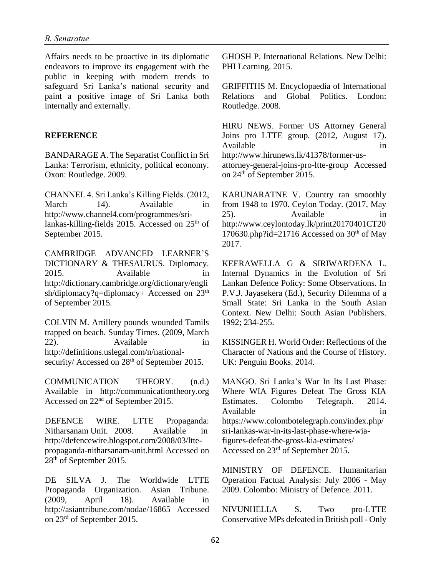Affairs needs to be proactive in its diplomatic endeavors to improve its engagement with the public in keeping with modern trends to safeguard Sri Lanka's national security and paint a positive image of Sri Lanka both internally and externally.

#### **REFERENCE**

BANDARAGE A. The Separatist Conflict in Sri Lanka: Terrorism, ethnicity, political economy. Oxon: Routledge. 2009.

CHANNEL 4. Sri Lanka's Killing Fields. (2012, March 14). Available in http://www.channel4.com/programmes/srilankas-killing-fields 2015. Accessed on  $25<sup>th</sup>$  of September 2015.

CAMBRIDGE ADVANCED LEARNER'S DICTIONARY & THESAURUS. Diplomacy. 2015. Available in http://dictionary.cambridge.org/dictionary/engli sh/diplomacy?q=diplomacy+ Accessed on  $23<sup>th</sup>$ of September 2015.

COLVIN M. Artillery pounds wounded Tamils trapped on beach. Sunday Times. (2009, March 22). Available in http://definitions.uslegal.com/n/nationalsecurity/ Accessed on 28<sup>th</sup> of September 2015.

COMMUNICATION THEORY. (n.d.) Available in http://communicationtheory.org Accessed on 22nd of September 2015.

DEFENCE WIRE. LTTE Propaganda: Nitharsanam Unit. 2008. Available in http://defencewire.blogspot.com/2008/03/lttepropaganda-nitharsanam-unit.html Accessed on 28<sup>th</sup> of September 2015.

DE SILVA J. The Worldwide LTTE Propaganda Organization. Asian Tribune. (2009, April 18). Available in http://asiantribune.com/nodae/16865 Accessed on 23rd of September 2015.

GHOSH P. International Relations. New Delhi: PHI Learning. 2015.

GRIFFITHS M. Encyclopaedia of International Relations and Global Politics. London: Routledge. 2008.

HIRU NEWS. Former US Attorney General Joins pro LTTE group. (2012, August 17). Available in the interval of  $\overline{a}$  in http://www.hirunews.lk/41378/former-usattorney-general-joins-pro-ltte-group Accessed on 24th of September 2015.

KARUNARATNE V. Country ran smoothly from 1948 to 1970. Ceylon Today. (2017, May 25). Available in http://www.ceylontoday.lk/print20170401CT20 170630.php?id=21716 Accessed on  $30<sup>th</sup>$  of May 2017.

KEERAWELLA G & SIRIWARDENA L. Internal Dynamics in the Evolution of Sri Lankan Defence Policy: Some Observations. In P.V.J. Jayasekera (Ed.), Security Dilemma of a Small State: Sri Lanka in the South Asian Context. New Delhi: South Asian Publishers. 1992; 234-255.

KISSINGER H. World Order: Reflections of the Character of Nations and the Course of History. UK: Penguin Books. 2014.

MANGO. Sri Lanka's War In Its Last Phase: Where WIA Figures Defeat The Gross KIA Estimates. Colombo Telegraph. 2014. Available in https://www.colombotelegraph.com/index.php/ sri-lankas-war-in-its-last-phase-where-wiafigures-defeat-the-gross-kia-estimates/ Accessed on 23rd of September 2015.

MINISTRY OF DEFENCE. Humanitarian Operation Factual Analysis: July 2006 - May 2009. Colombo: Ministry of Defence. 2011.

NIVUNHELLA S. Two pro-LTTE Conservative MPs defeated in British poll - Only